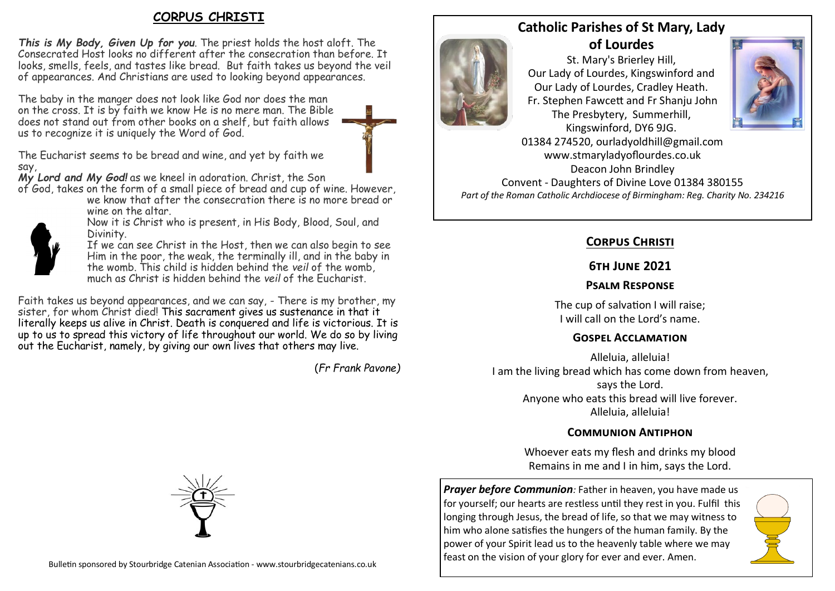# **CORPUS CHRISTI**

*This is My Body, Given Up for you*. The priest holds the host aloft. The Consecrated Host looks no different after the consecration than before. It looks, smells, feels, and tastes like bread. But faith takes us beyond the veil of appearances. And Christians are used to looking beyond appearances.

The baby in the manger does not look like God nor does the man on the cross. It is by faith we know He is no mere man. The Bible does not stand out from other books on a shelf, but faith allows us to recognize it is uniquely the Word of God.



The Eucharist seems to be bread and wine, and yet by faith we say,

*My Lord and My God!* as we kneel in adoration. Christ, the Son

of God, takes on the form of a small piece of bread and cup of wine. However,

we know that after the consecration there is no more bread or wine on the altar.



Now it is Christ who is present, in His Body, Blood, Soul, and Divinity.

If we can see Christ in the Host, then we can also begin to see Him in the poor, the weak, the terminally ill, and in the baby in the womb. This child is hidden behind the *veil* of the womb, much as Christ is hidden behind the *veil* of the Eucharist.

Faith takes us beyond appearances, and we can say, - There is my brother, my sister, for whom Christ died! This sacrament gives us sustenance in that it literally keeps us alive in Christ. Death is conquered and life is victorious. It is up to us to spread this victory of life throughout our world. We do so by living out the Eucharist, namely, by giving our own lives that others may live.

(*Fr Frank Pavone)*

# **Catholic Parishes of St Mary, Lady**

**of Lourdes**  St. Mary's Brierley Hill, Our Lady of Lourdes, Kingswinford and Our Lady of Lourdes, Cradley Heath.

Fr. Stephen Fawcett and Fr Shanju John The Presbytery, Summerhill, Kingswinford, DY6 9JG.



01384 274520, ourladyoldhill@gmail.com www.stmaryladyoflourdes.co.uk Deacon John Brindley Convent - Daughters of Divine Love 01384 380155 *Part of the Roman Catholic Archdiocese of Birmingham: Reg. Charity No. 234216*

# **Corpus Christi**

## **6th June 2021**

# **Psalm Response**

The cup of salvation I will raise; I will call on the Lord's name.

## **Gospel Acclamation**

Alleluia, alleluia! I am the living bread which has come down from heaven, says the Lord. Anyone who eats this bread will live forever. Alleluia, alleluia!

## **Communion Antiphon**

Whoever eats my flesh and drinks my blood Remains in me and I in him, says the Lord.

*Prayer before Communion: Father in heaven, you have made us* for yourself; our hearts are restless until they rest in you. Fulfil this longing through Jesus, the bread of life, so that we may witness to him who alone satisfies the hungers of the human family. By the power of your Spirit lead us to the heavenly table where we may feast on the vision of your glory for ever and ever. Amen.